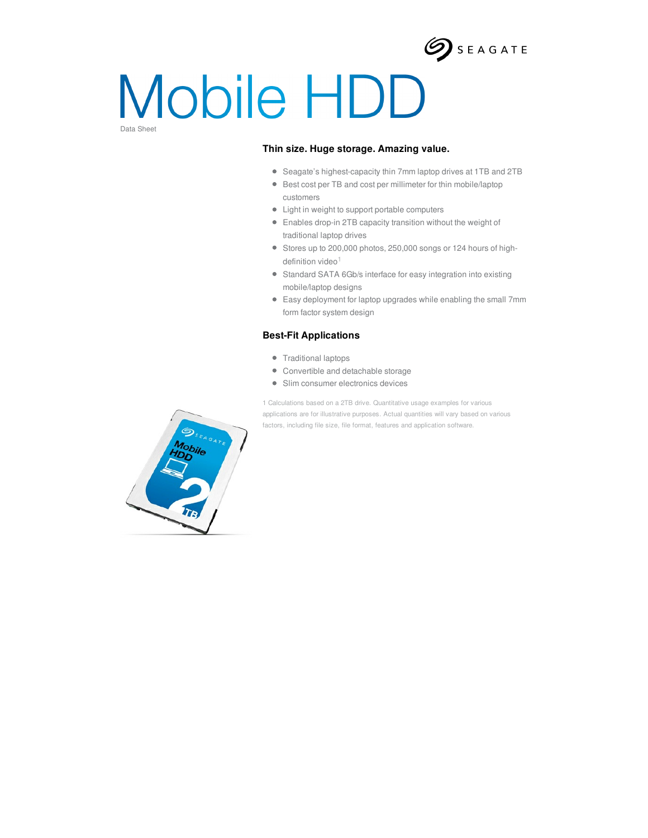

# Mobile HDD Data Sheet

### **Thin size. Huge storage. Amazing value.**

- Seagate's highest-capacity thin 7mm laptop drives at 1TB and 2TB
- Best cost per TB and cost per millimeter for thin mobile/laptop customers
- $\bullet$  Light in weight to support portable computers
- Enables drop-in 2TB capacity transition without the weight of traditional laptop drives
- Stores up to 200,000 photos, 250,000 songs or 124 hours of highdefinition video<sup>1</sup>
- Standard SATA 6Gb/s interface for easy integration into existing mobile/laptop designs
- Easy deployment for laptop upgrades while enabling the small 7mm form factor system design

#### **Best-Fit Applications**

- Traditional laptops
- Convertible and detachable storage
- Slim consumer electronics devices

1 Calculations based on a 2TB drive. Quantitative usage examples for various applications are for illustrative purposes. Actual quantities will vary based on various factors, including file size, file format, features and application software.